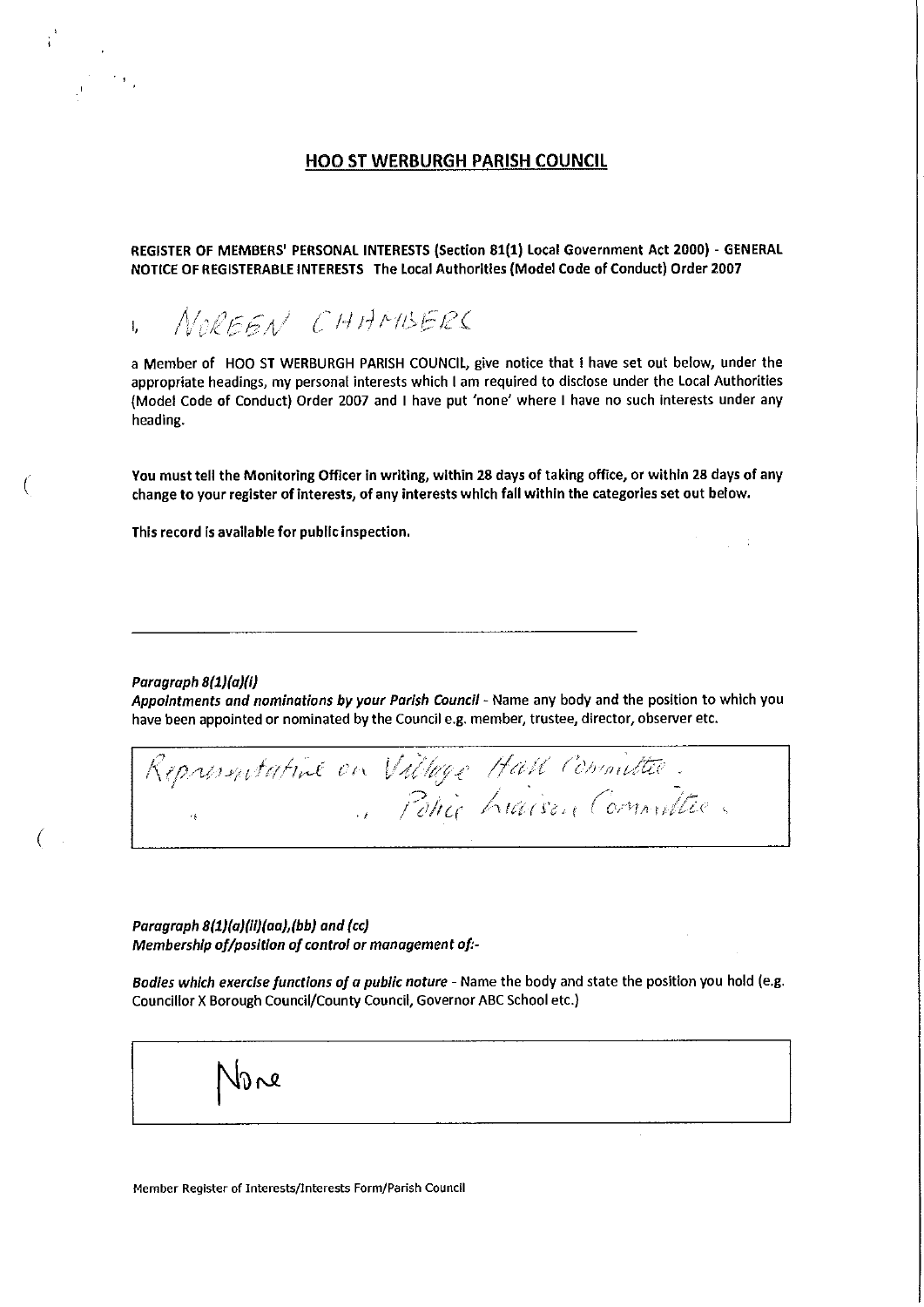# HOO ST WERBURGH PARISH COUNCIL

REGISTER OF MEMBERS' PERSONAL INTERESTS (Section 81(1) Local Government Act 2000) - GENERAL NOTICE OF REGISTERABLE INTERESTS The Local Authorities {Model Code of Conduct) Order 2007

NOREEN CHAMBERS I,

a Member of HOO ST WERBURGH PARISH COUNCIL, give notice that I have set out below, under the appropriate headings, my personal interests which I am required to disclose under the Local Authorities (Model Code of Conduct) Order 2007 and I have put 'none' where I have no such interests under any heading.

You must tell the Monitoring Officer in writing, within 28 days of taking office, or within 28 days of any change to your register of Interests, of any interests which fall within the categories set out below.

 $\gamma_{\rm c} = 1$ 

This record is available for public Inspection.

Paragraph 8{1)(a)(i)

(

Appointments and nominations by your Parish Council - Name any body and the position to which you have been appointed or nominated by the Council e.g. member, trustee, director, observer etc.

.,, ...<br>Ngj . I */ 'cl/tc(* 

Paragraph 8{1)(a)(ii)(aa),{bb) and {cc) Membership of/position of control or management of:-

Bodies which exercise functions of a public noture - Name the body and state the position you hold (e.g. Councillor X Borough Council/County Council, Governor ABC School etc.)

**Member Register of Interests/Interests Form/Parish Council** 

یم (ا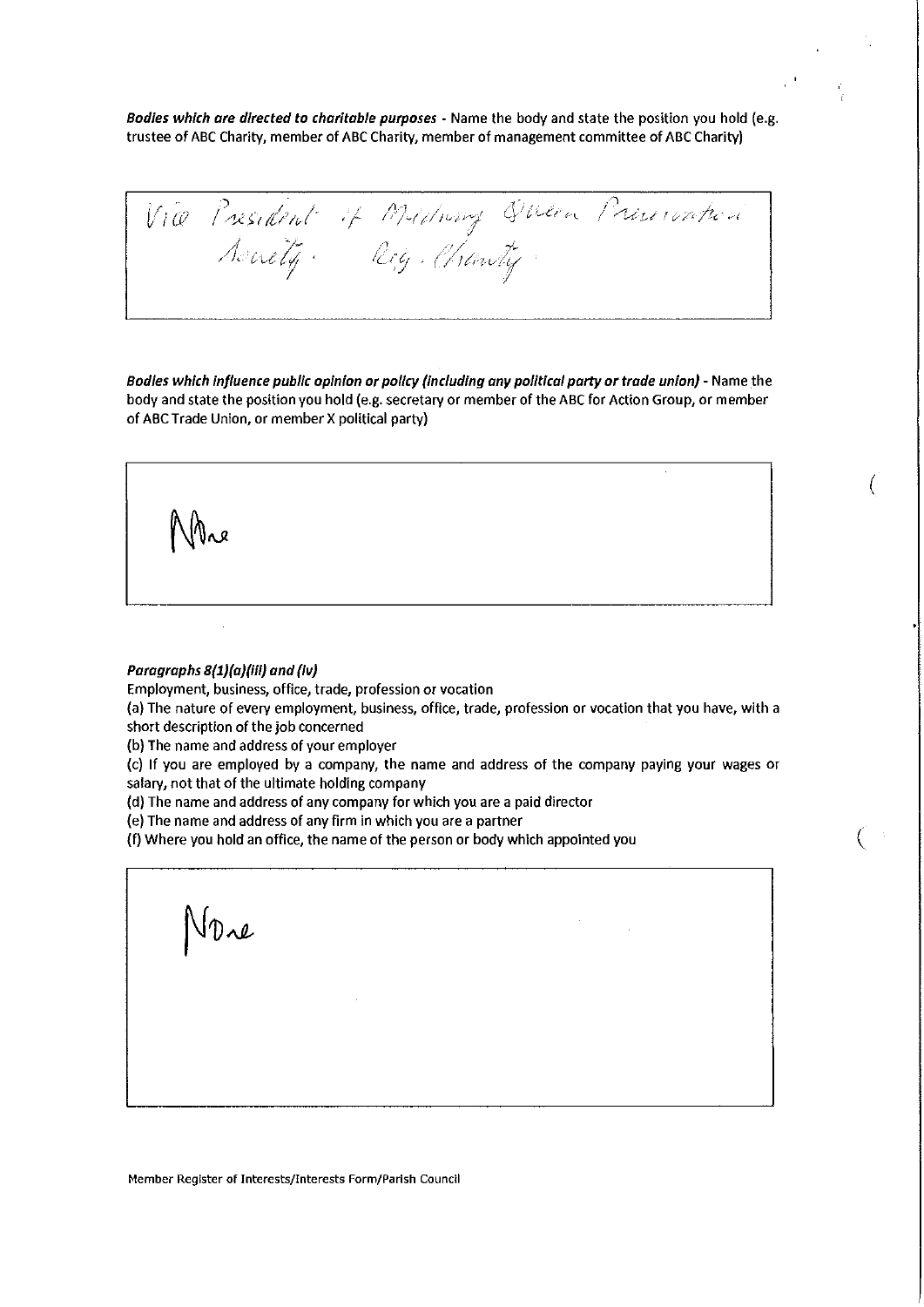*Bodies which ore directed to chorltob/e purposes* - Name the body and state the position you hold (e.g. trustee of ABC Charity, member of ABC Charity, member of management committee of ABC Charity)

Vice President of Mediung Disea President

Bodies which influence public opinion or policy (including any political party or trade union) - Name the body and state the position you hold (e.g. secretary or member of the ABC for Action Group, or member of ABC Trade Union, or member X political party)

(

#### Paragraphs 8(1)(a)(iii) and (iv)

**Employment, business, office, trade, profession or vocation** 

(a) The nature of every employment, business, office, trade, profession or vocation that you have, with a short description of the job concerned

(b) The name and address of your employer

(c) If you are employed by a company, the name and address of the company paying your wages or salary, not that of the ultimate holding company

(d) The name and address of any company for which you are a paid director

(e) The name and address of any firm in which you are a partner

(f) Where you hold an office, the name of the person or body which appointed you (

 $J\mathcal{D}$ re

**Member Register of Interests/Interests Form/Parish Council**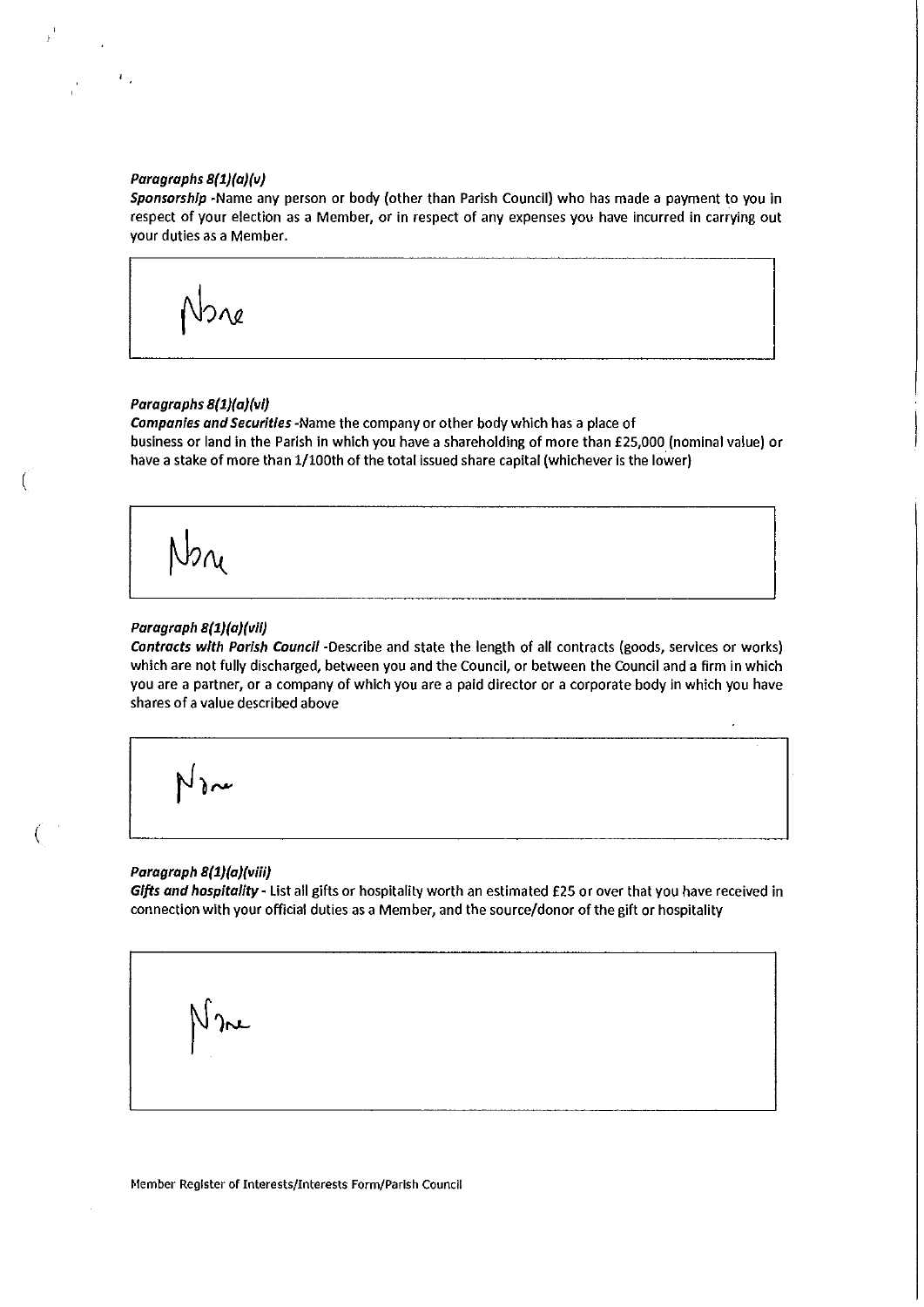# **Paragraphs 8{1}(a)(v)**

**Sponsorship** -Name any person or body (other than Parish Council) who has made a payment to you in respect of your election as a Member, or in respect of any expenses you have incurred in carrying out your duties as a Member.

 $\Omega$ 

# **Paragraphs 8{1}(a)(vi)**

*Companies and Securities* -Name the company or other body which has a place of business or land in the Parish in which you have a shareholding of more than £25,000 (nominal value) or have a stake of more than 1/100th of the total issued share capital (whichever is the lower)

# *Paragraph 8{1}(a)(vii)*

*Contracts with Parish Council* -Describe and state the length of all contracts (goods, services or works) which are not fully discharged, between you and the Council, or between the Council and a firm in which you are a partner, or a company of which you are a paid director or a corporate body in which you have shares of a value described above

(

#### **Paragraph 8{1}(a)(viii)**

*Gifts and hospitality-* List all gifts or hospitality worth an estimated £25 or over that you have received in connection with your official duties as a Member, and the source/donor of the gift or hospitality

عم( ا

**Member Register of Interests/Interests Form/Parish Councll**